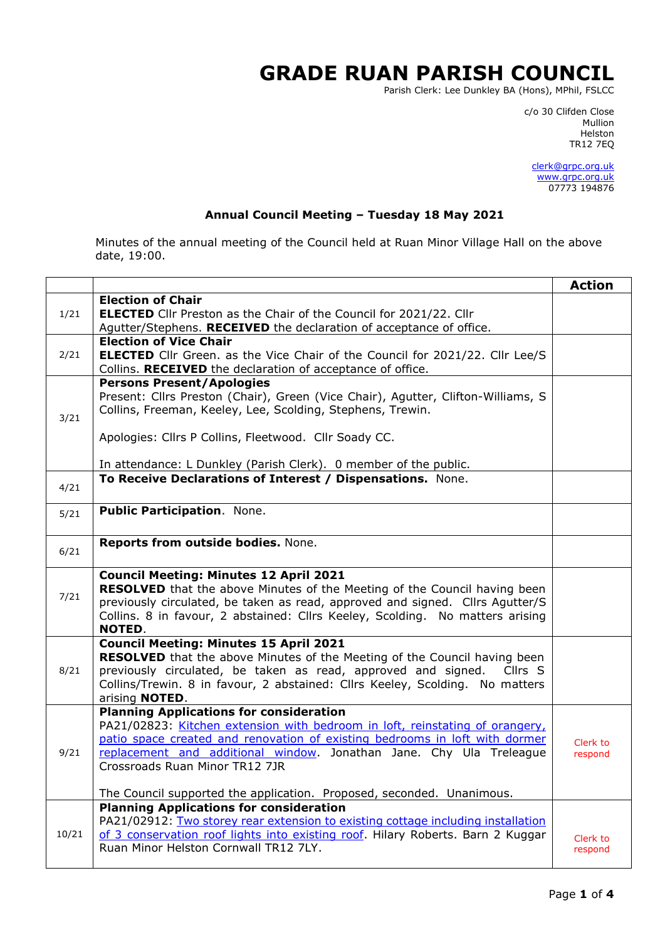## **GRADE RUAN PARISH COUNCIL**

Parish Clerk: Lee Dunkley BA (Hons), MPhil, FSLCC

c/o 30 Clifden Close man and the control of the control of the control of the control of the control of the control of the control o Helston TR12 7EQ

> [clerk@grpc.org.uk](mailto:clerk@grpc.org.uk) [www.grpc.org.uk](http://www.grpc.org.uk/) 07773 194876

## **Annual Council Meeting – Tuesday 18 May 2021**

Minutes of the annual meeting of the Council held at Ruan Minor Village Hall on the above date, 19:00.

|       |                                                                                                        | <b>Action</b>       |
|-------|--------------------------------------------------------------------------------------------------------|---------------------|
|       | <b>Election of Chair</b>                                                                               |                     |
| 1/21  | <b>ELECTED</b> Cllr Preston as the Chair of the Council for 2021/22. Cllr                              |                     |
|       | Agutter/Stephens. RECEIVED the declaration of acceptance of office.                                    |                     |
|       | <b>Election of Vice Chair</b>                                                                          |                     |
| 2/21  | <b>ELECTED</b> Cllr Green. as the Vice Chair of the Council for 2021/22. Cllr Lee/S                    |                     |
|       | Collins. RECEIVED the declaration of acceptance of office.                                             |                     |
|       | <b>Persons Present/Apologies</b>                                                                       |                     |
|       | Present: Cllrs Preston (Chair), Green (Vice Chair), Agutter, Clifton-Williams, S                       |                     |
| 3/21  | Collins, Freeman, Keeley, Lee, Scolding, Stephens, Trewin.                                             |                     |
|       |                                                                                                        |                     |
|       | Apologies: Cllrs P Collins, Fleetwood. Cllr Soady CC.                                                  |                     |
|       | In attendance: L Dunkley (Parish Clerk). 0 member of the public.                                       |                     |
|       | To Receive Declarations of Interest / Dispensations. None.                                             |                     |
| 4/21  |                                                                                                        |                     |
|       |                                                                                                        |                     |
| 5/21  | <b>Public Participation. None.</b>                                                                     |                     |
|       |                                                                                                        |                     |
| 6/21  | Reports from outside bodies. None.                                                                     |                     |
|       |                                                                                                        |                     |
|       | <b>Council Meeting: Minutes 12 April 2021</b>                                                          |                     |
| 7/21  | <b>RESOLVED</b> that the above Minutes of the Meeting of the Council having been                       |                     |
|       | previously circulated, be taken as read, approved and signed. Cllrs Agutter/S                          |                     |
|       | Collins. 8 in favour, 2 abstained: Cllrs Keeley, Scolding. No matters arising                          |                     |
|       | <b>NOTED.</b>                                                                                          |                     |
|       | <b>Council Meeting: Minutes 15 April 2021</b>                                                          |                     |
|       | <b>RESOLVED</b> that the above Minutes of the Meeting of the Council having been                       |                     |
| 8/21  | previously circulated, be taken as read, approved and signed. Cllrs S                                  |                     |
|       | Collins/Trewin. 8 in favour, 2 abstained: Cllrs Keeley, Scolding. No matters<br>arising <b>NOTED</b> . |                     |
|       | <b>Planning Applications for consideration</b>                                                         |                     |
|       | PA21/02823: Kitchen extension with bedroom in loft, reinstating of orangery,                           |                     |
|       | patio space created and renovation of existing bedrooms in loft with dormer                            |                     |
| 9/21  | replacement and additional window. Jonathan Jane. Chy Ula Treleague                                    | Clerk to<br>respond |
|       | Crossroads Ruan Minor TR12 7JR                                                                         |                     |
|       |                                                                                                        |                     |
|       | The Council supported the application. Proposed, seconded. Unanimous.                                  |                     |
|       | <b>Planning Applications for consideration</b>                                                         |                     |
|       | PA21/02912: Two storey rear extension to existing cottage including installation                       |                     |
| 10/21 | of 3 conservation roof lights into existing roof. Hilary Roberts. Barn 2 Kuggar                        | Clerk to            |
|       | Ruan Minor Helston Cornwall TR12 7LY.                                                                  | respond             |
|       |                                                                                                        |                     |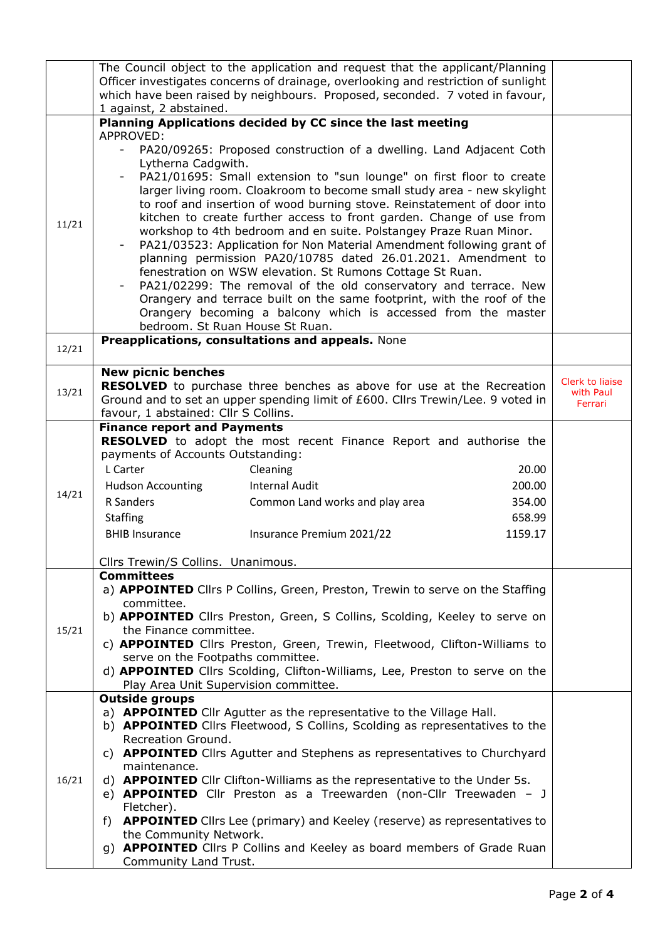|       | The Council object to the application and request that the applicant/Planning<br>Officer investigates concerns of drainage, overlooking and restriction of sunlight<br>which have been raised by neighbours. Proposed, seconded. 7 voted in favour,<br>1 against, 2 abstained.                                                                                                                                                                                                                                                                                                                                                                                                                                                                                                                                                                                                                                                                     |                                         |
|-------|----------------------------------------------------------------------------------------------------------------------------------------------------------------------------------------------------------------------------------------------------------------------------------------------------------------------------------------------------------------------------------------------------------------------------------------------------------------------------------------------------------------------------------------------------------------------------------------------------------------------------------------------------------------------------------------------------------------------------------------------------------------------------------------------------------------------------------------------------------------------------------------------------------------------------------------------------|-----------------------------------------|
|       | Planning Applications decided by CC since the last meeting                                                                                                                                                                                                                                                                                                                                                                                                                                                                                                                                                                                                                                                                                                                                                                                                                                                                                         |                                         |
| 11/21 | APPROVED:<br>PA20/09265: Proposed construction of a dwelling. Land Adjacent Coth<br>$-$<br>Lytherna Cadgwith.<br>PA21/01695: Small extension to "sun lounge" on first floor to create<br>larger living room. Cloakroom to become small study area - new skylight<br>to roof and insertion of wood burning stove. Reinstatement of door into<br>kitchen to create further access to front garden. Change of use from<br>workshop to 4th bedroom and en suite. Polstangey Praze Ruan Minor.<br>PA21/03523: Application for Non Material Amendment following grant of<br>planning permission PA20/10785 dated 26.01.2021. Amendment to<br>fenestration on WSW elevation. St Rumons Cottage St Ruan.<br>PA21/02299: The removal of the old conservatory and terrace. New<br>Orangery and terrace built on the same footprint, with the roof of the<br>Orangery becoming a balcony which is accessed from the master<br>bedroom. St Ruan House St Ruan. |                                         |
| 12/21 | Preapplications, consultations and appeals. None                                                                                                                                                                                                                                                                                                                                                                                                                                                                                                                                                                                                                                                                                                                                                                                                                                                                                                   |                                         |
| 13/21 | <b>New picnic benches</b><br>RESOLVED to purchase three benches as above for use at the Recreation<br>Ground and to set an upper spending limit of £600. Cllrs Trewin/Lee. 9 voted in<br>favour, 1 abstained: Cllr S Collins.                                                                                                                                                                                                                                                                                                                                                                                                                                                                                                                                                                                                                                                                                                                      | Clerk to liaise<br>with Paul<br>Ferrari |
| 14/21 | <b>Finance report and Payments</b><br>RESOLVED to adopt the most recent Finance Report and authorise the<br>payments of Accounts Outstanding:<br>L Carter<br>Cleaning<br>20.00<br><b>Hudson Accounting</b><br><b>Internal Audit</b><br>200.00<br>R Sanders<br>Common Land works and play area<br>354.00<br><b>Staffing</b><br>658.99<br>Insurance Premium 2021/22<br>1159.17<br><b>BHIB Insurance</b><br>Cllrs Trewin/S Collins. Unanimous.                                                                                                                                                                                                                                                                                                                                                                                                                                                                                                        |                                         |
| 15/21 | <b>Committees</b><br>a) <b>APPOINTED</b> Cllrs P Collins, Green, Preston, Trewin to serve on the Staffing<br>committee.<br>b) APPOINTED Cllrs Preston, Green, S Collins, Scolding, Keeley to serve on<br>the Finance committee.<br>c) <b>APPOINTED</b> Cllrs Preston, Green, Trewin, Fleetwood, Clifton-Williams to<br>serve on the Footpaths committee.<br>d) <b>APPOINTED</b> Cllrs Scolding, Clifton-Williams, Lee, Preston to serve on the<br>Play Area Unit Supervision committee.                                                                                                                                                                                                                                                                                                                                                                                                                                                            |                                         |
| 16/21 | <b>Outside groups</b><br>a) <b>APPOINTED</b> Cllr Agutter as the representative to the Village Hall.<br>b) <b>APPOINTED</b> Cllrs Fleetwood, S Collins, Scolding as representatives to the<br>Recreation Ground.<br>c) <b>APPOINTED</b> Cllrs Agutter and Stephens as representatives to Churchyard<br>maintenance.<br>d) <b>APPOINTED</b> Cllr Clifton-Williams as the representative to the Under 5s.<br>e) <b>APPOINTED</b> Cllr Preston as a Treewarden (non-Cllr Treewaden - J<br>Fletcher).<br>f) <b>APPOINTED</b> Cllrs Lee (primary) and Keeley (reserve) as representatives to<br>the Community Network.<br>g) <b>APPOINTED</b> Cllrs P Collins and Keeley as board members of Grade Ruan<br>Community Land Trust.                                                                                                                                                                                                                        |                                         |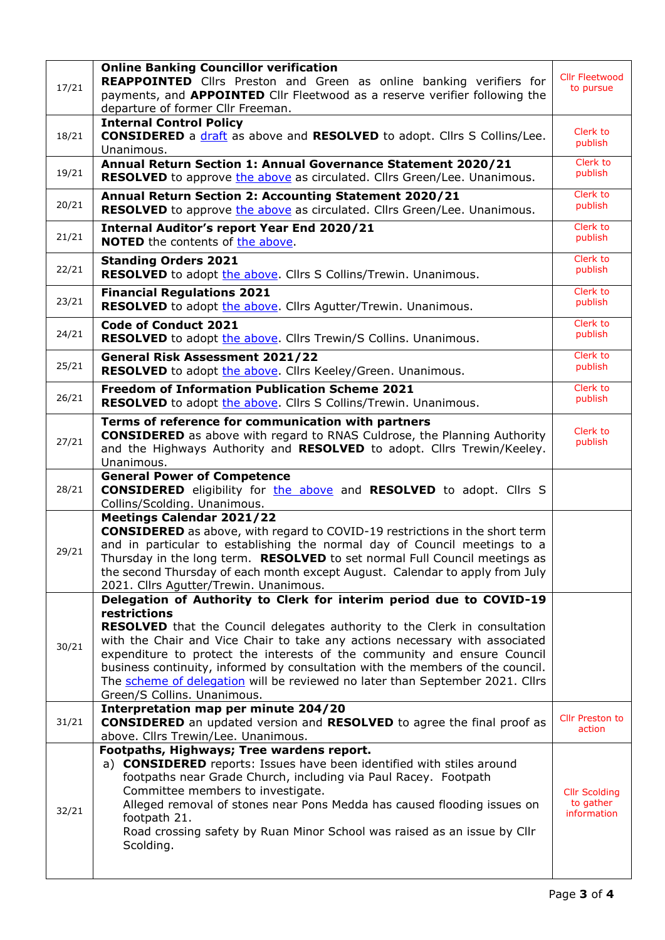| 17/21 | <b>Online Banking Councillor verification</b><br>REAPPOINTED Cllrs Preston and Green as online banking verifiers for<br>payments, and APPOINTED Cllr Fleetwood as a reserve verifier following the<br>departure of former Cllr Freeman.                                                                                                                                                                                                                                                                                               | <b>Cllr Fleetwood</b><br>to pursue               |
|-------|---------------------------------------------------------------------------------------------------------------------------------------------------------------------------------------------------------------------------------------------------------------------------------------------------------------------------------------------------------------------------------------------------------------------------------------------------------------------------------------------------------------------------------------|--------------------------------------------------|
| 18/21 | <b>Internal Control Policy</b><br><b>CONSIDERED</b> a draft as above and <b>RESOLVED</b> to adopt. Clirs S Collins/Lee.<br>Unanimous.                                                                                                                                                                                                                                                                                                                                                                                                 | Clerk to<br>publish                              |
| 19/21 | Annual Return Section 1: Annual Governance Statement 2020/21<br>RESOLVED to approve the above as circulated. Cllrs Green/Lee. Unanimous.                                                                                                                                                                                                                                                                                                                                                                                              | Clerk to<br>publish                              |
| 20/21 | Annual Return Section 2: Accounting Statement 2020/21<br><b>RESOLVED</b> to approve the above as circulated. Cllrs Green/Lee. Unanimous.                                                                                                                                                                                                                                                                                                                                                                                              | Clerk to<br>publish                              |
| 21/21 | <b>Internal Auditor's report Year End 2020/21</b><br><b>NOTED</b> the contents of the above.                                                                                                                                                                                                                                                                                                                                                                                                                                          | <b>Clerk</b> to<br>publish                       |
| 22/21 | <b>Standing Orders 2021</b><br><b>RESOLVED</b> to adopt the above. Cllrs S Collins/Trewin. Unanimous.                                                                                                                                                                                                                                                                                                                                                                                                                                 | Clerk to<br>publish                              |
| 23/21 | <b>Financial Regulations 2021</b><br>RESOLVED to adopt the above. Cllrs Agutter/Trewin. Unanimous.                                                                                                                                                                                                                                                                                                                                                                                                                                    | <b>Clerk</b> to<br>publish                       |
| 24/21 | <b>Code of Conduct 2021</b><br><b>RESOLVED</b> to adopt the above. Cllrs Trewin/S Collins. Unanimous.                                                                                                                                                                                                                                                                                                                                                                                                                                 | Clerk to<br>publish                              |
| 25/21 | <b>General Risk Assessment 2021/22</b><br>RESOLVED to adopt the above. Cllrs Keeley/Green. Unanimous.                                                                                                                                                                                                                                                                                                                                                                                                                                 | Clerk to<br>publish                              |
| 26/21 | <b>Freedom of Information Publication Scheme 2021</b><br>RESOLVED to adopt the above. Cllrs S Collins/Trewin. Unanimous.                                                                                                                                                                                                                                                                                                                                                                                                              | <b>Clerk</b> to<br>publish                       |
| 27/21 | Terms of reference for communication with partners<br><b>CONSIDERED</b> as above with regard to RNAS Culdrose, the Planning Authority<br>and the Highways Authority and RESOLVED to adopt. Cllrs Trewin/Keeley.<br>Unanimous.                                                                                                                                                                                                                                                                                                         | Clerk to<br>publish                              |
| 28/21 | <b>General Power of Competence</b><br><b>CONSIDERED</b> eligibility for the above and <b>RESOLVED</b> to adopt. Cllrs S<br>Collins/Scolding. Unanimous.                                                                                                                                                                                                                                                                                                                                                                               |                                                  |
| 29/21 | <b>Meetings Calendar 2021/22</b><br><b>CONSIDERED</b> as above, with regard to COVID-19 restrictions in the short term<br>and in particular to establishing the normal day of Council meetings to a<br>Thursday in the long term. RESOLVED to set normal Full Council meetings as<br>the second Thursday of each month except August. Calendar to apply from July<br>2021. Cllrs Agutter/Trewin. Unanimous.                                                                                                                           |                                                  |
| 30/21 | Delegation of Authority to Clerk for interim period due to COVID-19<br>restrictions<br><b>RESOLVED</b> that the Council delegates authority to the Clerk in consultation<br>with the Chair and Vice Chair to take any actions necessary with associated<br>expenditure to protect the interests of the community and ensure Council<br>business continuity, informed by consultation with the members of the council.<br>The scheme of delegation will be reviewed no later than September 2021. Cllrs<br>Green/S Collins. Unanimous. |                                                  |
| 31/21 | Interpretation map per minute 204/20<br><b>CONSIDERED</b> an updated version and <b>RESOLVED</b> to agree the final proof as<br>above. Cllrs Trewin/Lee. Unanimous.                                                                                                                                                                                                                                                                                                                                                                   | <b>Cllr Preston to</b><br>action                 |
| 32/21 | Footpaths, Highways; Tree wardens report.<br>a) <b>CONSIDERED</b> reports: Issues have been identified with stiles around<br>footpaths near Grade Church, including via Paul Racey. Footpath<br>Committee members to investigate.<br>Alleged removal of stones near Pons Medda has caused flooding issues on<br>footpath 21.<br>Road crossing safety by Ruan Minor School was raised as an issue by Cllr<br>Scolding.                                                                                                                 | <b>Cllr Scolding</b><br>to gather<br>information |